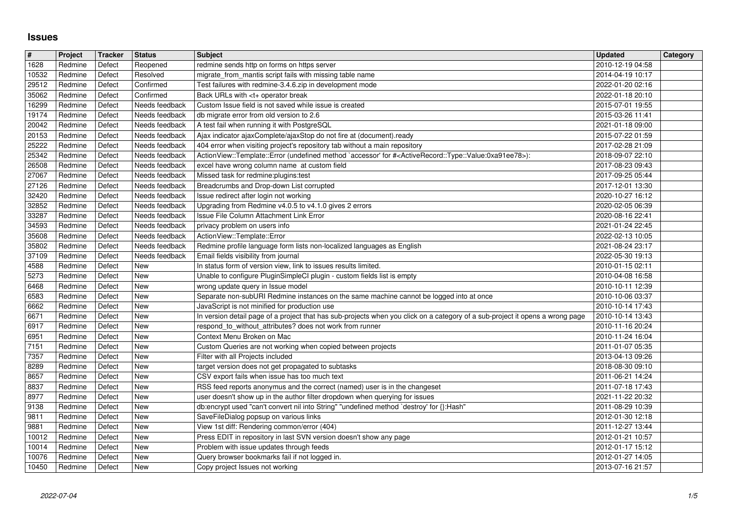## **Issues**

| $\vert$ #             | Project            | <b>Tracker</b>   | <b>Status</b>                    | <b>Subject</b>                                                                                                                                                                 | <b>Updated</b>                       | Category |
|-----------------------|--------------------|------------------|----------------------------------|--------------------------------------------------------------------------------------------------------------------------------------------------------------------------------|--------------------------------------|----------|
| 1628<br>10532         | Redmine<br>Redmine | Defect<br>Defect | Reopened<br>Resolved             | redmine sends http on forms on https server<br>migrate_from_mantis script fails with missing table name                                                                        | 2010-12-19 04:58<br>2014-04-19 10:17 |          |
| 29512                 | Redmine            | Defect           | Confirmed                        | Test failures with redmine-3.4.6.zip in development mode                                                                                                                       | 2022-01-20 02:16                     |          |
| 35062<br>16299        | Redmine<br>Redmine | Defect<br>Defect | Confirmed<br>Needs feedback      | Back URLs with <t+ break<br="" operator="">Custom Issue field is not saved while issue is created</t+>                                                                         | 2022-01-18 20:10<br>2015-07-01 19:55 |          |
| 19174                 | Redmine            | Defect           | Needs feedback                   | db migrate error from old version to 2.6                                                                                                                                       | 2015-03-26 11:41                     |          |
| 20042                 | Redmine            | Defect           | Needs feedback                   | A test fail when running it with PostgreSQL                                                                                                                                    | 2021-01-18 09:00                     |          |
| 20153<br>25222        | Redmine<br>Redmine | Defect<br>Defect | Needs feedback<br>Needs feedback | Ajax indicator ajaxComplete/ajaxStop do not fire at (document).ready<br>404 error when visiting project's repository tab without a main repository                             | 2015-07-22 01:59<br>2017-02-28 21:09 |          |
| 25342                 | Redmine            | Defect           | Needs feedback                   | ActionView::Template::Error (undefined method `accessor' for # <activerecord::type::value:0xa91ee78>):</activerecord::type::value:0xa91ee78>                                   | 2018-09-07 22:10                     |          |
| 26508<br>27067        | Redmine<br>Redmine | Defect<br>Defect | Needs feedback<br>Needs feedback | excel have wrong column name at custom field<br>Missed task for redmine: plugins: test                                                                                         | 2017-08-23 09:43<br>2017-09-25 05:44 |          |
| 27126                 | Redmine            | Defect           | Needs feedback                   | Breadcrumbs and Drop-down List corrupted                                                                                                                                       | 2017-12-01 13:30                     |          |
| 32420                 | Redmine            | Defect           | Needs feedback                   | Issue redirect after login not working                                                                                                                                         | 2020-10-27 16:12                     |          |
| 32852<br>33287        | Redmine<br>Redmine | Defect<br>Defect | Needs feedback<br>Needs feedback | Upgrading from Redmine v4.0.5 to v4.1.0 gives 2 errors<br>Issue File Column Attachment Link Error                                                                              | 2020-02-05 06:39<br>2020-08-16 22:41 |          |
| 34593                 | Redmine            | Defect           | Needs feedback                   | privacy problem on users info                                                                                                                                                  | 2021-01-24 22:45                     |          |
| 35608<br>35802        | Redmine<br>Redmine | Defect<br>Defect | Needs feedback<br>Needs feedback | ActionView::Template::Error<br>Redmine profile language form lists non-localized languages as English                                                                          | 2022-02-13 10:05<br>2021-08-24 23:17 |          |
| 37109                 | Redmine            | Defect           | Needs feedback                   | Email fields visibility from journal                                                                                                                                           | 2022-05-30 19:13                     |          |
| 4588                  | Redmine            | Defect           | New                              | In status form of version view, link to issues results limited.                                                                                                                | 2010-01-15 02:11                     |          |
| 5273<br>6468          | Redmine<br>Redmine | Defect<br>Defect | New<br>New                       | Unable to configure PluginSimpleCl plugin - custom fields list is empty<br>wrong update query in Issue model                                                                   | 2010-04-08 16:58<br>2010-10-11 12:39 |          |
| 6583                  | Redmine            | Defect           | <b>New</b>                       | Separate non-subURI Redmine instances on the same machine cannot be logged into at once                                                                                        | 2010-10-06 03:37                     |          |
| 6662<br>6671          | Redmine<br>Redmine | Defect<br>Defect | <b>New</b><br><b>New</b>         | JavaScript is not minified for production use<br>In version detail page of a project that has sub-projects when you click on a category of a sub-project it opens a wrong page | 2010-10-14 17:43<br>2010-10-14 13:43 |          |
| 6917                  | Redmine            | Defect           | New                              | respond_to_without_attributes? does not work from runner                                                                                                                       | 2010-11-16 20:24                     |          |
| 6951                  | Redmine            | Defect           | New                              | Context Menu Broken on Mac                                                                                                                                                     | 2010-11-24 16:04                     |          |
| $\sqrt{7151}$<br>7357 | Redmine<br>Redmine | Defect<br>Defect | New<br>New                       | Custom Queries are not working when copied between projects<br>Filter with all Projects included                                                                               | 2011-01-07 05:35<br>2013-04-13 09:26 |          |
| 8289                  | Redmine            | Defect           | New                              | target version does not get propagated to subtasks                                                                                                                             | 2018-08-30 09:10                     |          |
| 8657                  | Redmine            | Defect           | New                              | CSV export fails when issue has too much text                                                                                                                                  | 2011-06-21 14:24                     |          |
| 8837<br>8977          | Redmine<br>Redmine | Defect<br>Defect | New<br>New                       | RSS feed reports anonymus and the correct (named) user is in the changeset<br>user doesn't show up in the author filter dropdown when querying for issues                      | 2011-07-18 17:43<br>2021-11-22 20:32 |          |
| 9138                  | Redmine            | Defect           | New                              | db:encrypt used "can't convert nil into String" "undefined method `destroy' for {}:Hash"                                                                                       | 2011-08-29 10:39                     |          |
| 9811<br>9881          | Redmine<br>Redmine | Defect<br>Defect | New<br><b>New</b>                | SaveFileDialog popsup on various links<br>View 1st diff: Rendering common/error (404)                                                                                          | 2012-01-30 12:18<br>2011-12-27 13:44 |          |
| 10012                 | Redmine            | Defect           | New                              | Press EDIT in repository in last SVN version doesn't show any page                                                                                                             | 2012-01-21 10:57                     |          |
| 10014                 | Redmine            | Defect           | New                              | Problem with issue updates through feeds                                                                                                                                       | 2012-01-17 15:12                     |          |
| 10076<br>10450        | Redmine<br>Redmine | Defect<br>Defect | New<br>New                       | Query browser bookmarks fail if not logged in.<br>Copy project Issues not working                                                                                              | 2012-01-27 14:05<br>2013-07-16 21:57 |          |
|                       |                    |                  |                                  |                                                                                                                                                                                |                                      |          |
|                       |                    |                  |                                  |                                                                                                                                                                                |                                      |          |
|                       |                    |                  |                                  |                                                                                                                                                                                |                                      |          |
|                       |                    |                  |                                  |                                                                                                                                                                                |                                      |          |
|                       |                    |                  |                                  |                                                                                                                                                                                |                                      |          |
|                       |                    |                  |                                  |                                                                                                                                                                                |                                      |          |
|                       |                    |                  |                                  |                                                                                                                                                                                |                                      |          |
|                       |                    |                  |                                  |                                                                                                                                                                                |                                      |          |
|                       |                    |                  |                                  |                                                                                                                                                                                |                                      |          |
|                       |                    |                  |                                  |                                                                                                                                                                                |                                      |          |
|                       |                    |                  |                                  |                                                                                                                                                                                |                                      |          |
|                       |                    |                  |                                  |                                                                                                                                                                                |                                      |          |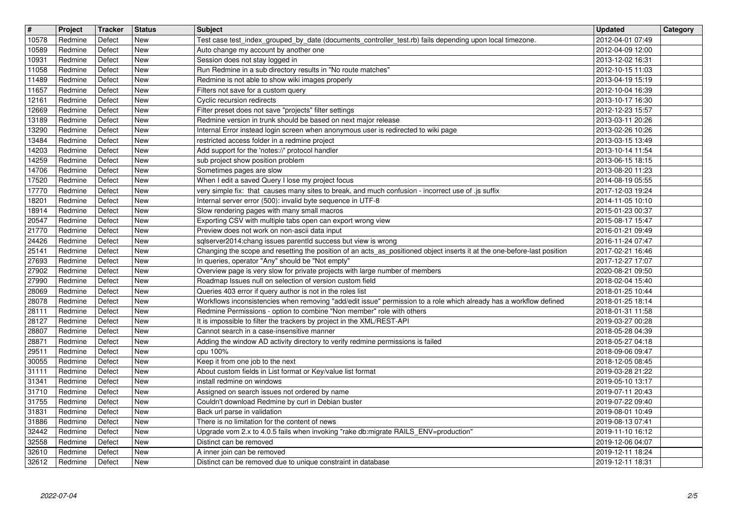| $\overline{\mathbf{H}}$ |                         | Project            | <b>Tracker</b>   | <b>Status</b>            | <b>Subject</b>                                                                                                                                                               | <b>Updated</b>                       | Category |
|-------------------------|-------------------------|--------------------|------------------|--------------------------|------------------------------------------------------------------------------------------------------------------------------------------------------------------------------|--------------------------------------|----------|
|                         | 10578<br>10589          | Redmine<br>Redmine | Defect<br>Defect | New<br><b>New</b>        | Test case test_index_grouped_by_date (documents_controller_test.rb) fails depending upon local timezone.<br>Auto change my account by another one                            | 2012-04-01 07:49<br>2012-04-09 12:00 |          |
|                         | 10931                   | Redmine            | Defect           | <b>New</b>               | Session does not stay logged in                                                                                                                                              | 2013-12-02 16:31                     |          |
|                         | 11058                   | Redmine            | Defect           | <b>New</b><br><b>New</b> | Run Redmine in a sub directory results in "No route matches"                                                                                                                 | 2012-10-15 11:03                     |          |
|                         | 11489<br>11657          | Redmine<br>Redmine | Defect<br>Defect | <b>New</b>               | Redmine is not able to show wiki images properly<br>Filters not save for a custom query                                                                                      | 2013-04-19 15:19<br>2012-10-04 16:39 |          |
|                         | 12161                   | Redmine            | Defect           | New                      | Cyclic recursion redirects                                                                                                                                                   | 2013-10-17 16:30                     |          |
|                         | 12669<br>13189          | Redmine<br>Redmine | Defect<br>Defect | New<br><b>New</b>        | Filter preset does not save "projects" filter settings<br>Redmine version in trunk should be based on next major release                                                     | 2012-12-23 15:57<br>2013-03-11 20:26 |          |
|                         | 13290                   | Redmine            | Defect           | <b>New</b>               | Internal Error instead login screen when anonymous user is redirected to wiki page                                                                                           | 2013-02-26 10:26                     |          |
|                         | 13484<br>14203          | Redmine<br>Redmine | Defect<br>Defect | <b>New</b><br><b>New</b> | restricted access folder in a redmine project<br>Add support for the 'notes://' protocol handler                                                                             | 2013-03-15 13:49<br>2013-10-14 11:54 |          |
|                         | 14259                   | Redmine            | Defect           | New                      | sub project show position problem                                                                                                                                            | 2013-06-15 18:15                     |          |
|                         | 14706<br>17520          | Redmine<br>Redmine | Defect<br>Defect | <b>New</b><br><b>New</b> | Sometimes pages are slow<br>When I edit a saved Query I lose my project focus                                                                                                | 2013-08-20 11:23<br>2014-08-19 05:55 |          |
|                         | 17770                   | Redmine            | Defect           | New                      | very simple fix: that causes many sites to break, and much confusion - incorrect use of .js suffix                                                                           | 2017-12-03 19:24                     |          |
|                         | 18201<br>18914          | Redmine<br>Redmine | Defect<br>Defect | New<br>New               | Internal server error (500): invalid byte sequence in UTF-8<br>Slow rendering pages with many small macros                                                                   | 2014-11-05 10:10<br>2015-01-23 00:37 |          |
|                         | 20547                   | Redmine            | Defect           | <b>New</b><br><b>New</b> | Exporting CSV with multiple tabs open can export wrong view                                                                                                                  | 2015-08-17 15:47                     |          |
|                         | 21770<br>24426          | Redmine<br>Redmine | Defect<br>Defect | <b>New</b>               | Preview does not work on non-ascii data input<br>sqlserver2014:chang issues parentId success but view is wrong                                                               | 2016-01-21 09:49<br>2016-11-24 07:47 |          |
|                         | $\sqrt{25141}$<br>27693 | Redmine<br>Redmine | Defect<br>Defect | <b>New</b><br><b>New</b> | Changing the scope and resetting the position of an acts_as_positioned object inserts it at the one-before-last position<br>In queries, operator "Any" should be "Not empty" | 2017-02-21 16:46<br>2017-12-27 17:07 |          |
|                         | 27902                   | Redmine            | Defect           | <b>New</b>               | Overview page is very slow for private projects with large number of members                                                                                                 | 2020-08-21 09:50                     |          |
|                         | 27990<br>28069          | Redmine<br>Redmine | Defect<br>Defect | <b>New</b><br>New        | Roadmap Issues null on selection of version custom field<br>Queries 403 error if query author is not in the roles list                                                       | 2018-02-04 15:40<br>2018-01-25 10:44 |          |
|                         | 28078                   | Redmine            | Defect           | New                      | Workflows inconsistencies when removing "add/edit issue" permission to a role which already has a workflow defined                                                           | 2018-01-25 18:14                     |          |
|                         | 28111<br>28127          | Redmine<br>Redmine | Defect<br>Defect | <b>New</b><br>New        | Redmine Permissions - option to combine "Non member" role with others<br>It is impossible to filter the trackers by project in the XML/REST-API                              | 2018-01-31 11:58<br>2019-03-27 00:28 |          |
|                         | 28807                   | Redmine            | Defect           | New                      | Cannot search in a case-insensitive manner                                                                                                                                   | 2018-05-28 04:39                     |          |
|                         | 28871                   | Redmine            | Defect           | <b>New</b><br><b>New</b> | Adding the window AD activity directory to verify redmine permissions is failed                                                                                              | 2018-05-27 04:18                     |          |
|                         | 29511<br>30055          | Redmine<br>Redmine | Defect<br>Defect | <b>New</b>               | cpu 100%<br>Keep it from one job to the next                                                                                                                                 | 2018-09-06 09:47<br>2018-12-05 08:45 |          |
|                         | 31111                   | Redmine            | Defect           | <b>New</b>               | About custom fields in List format or Key/value list format<br>install redmine on windows                                                                                    | 2019-03-28 21:22                     |          |
|                         | 31341<br>31710          | Redmine<br>Redmine | Defect<br>Defect | New<br>New               | Assigned on search issues not ordered by name                                                                                                                                | 2019-05-10 13:17<br>2019-07-11 20:43 |          |
|                         | 31755<br>31831          | Redmine<br>Redmine | Defect<br>Defect | New<br><b>New</b>        | Couldn't download Redmine by curl in Debian buster<br>Back url parse in validation                                                                                           | 2019-07-22 09:40<br>2019-08-01 10:49 |          |
|                         | 31886                   | Redmine            | Defect           | New                      | There is no limitation for the content of news                                                                                                                               | 2019-08-13 07:41                     |          |
|                         | 32442<br>32558          | Redmine<br>Redmine | Defect<br>Defect | New<br>New               | Upgrade vom 2.x to 4.0.5 fails when invoking "rake db:migrate RAILS_ENV=production"<br>Distinct can be removed                                                               | 2019-11-10 16:12<br>2019-12-06 04:07 |          |
|                         | 32610                   | Redmine            | Defect           | New                      | A inner join can be removed<br>Distinct can be removed due to unique constraint in database                                                                                  | 2019-12-11 18:24                     |          |
|                         |                         |                    |                  |                          |                                                                                                                                                                              |                                      |          |
|                         |                         |                    |                  |                          |                                                                                                                                                                              |                                      |          |
|                         |                         |                    |                  |                          |                                                                                                                                                                              |                                      |          |
|                         |                         |                    |                  |                          |                                                                                                                                                                              |                                      |          |
|                         |                         |                    |                  |                          |                                                                                                                                                                              |                                      |          |
|                         |                         |                    |                  |                          |                                                                                                                                                                              |                                      |          |
|                         |                         |                    |                  |                          |                                                                                                                                                                              |                                      |          |
|                         |                         |                    |                  |                          |                                                                                                                                                                              |                                      |          |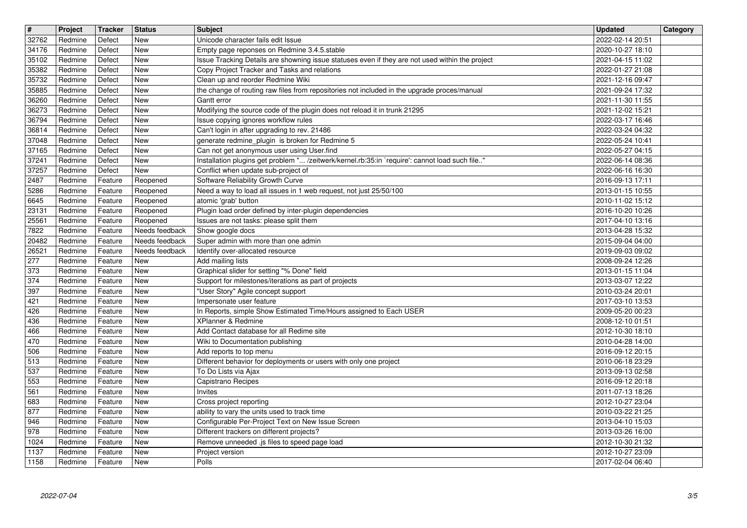| $\overline{\mathbf{r}}$<br>32762 | Project<br>Redmine | <b>Tracker</b><br>Defect | <b>Status</b><br><b>New</b>      | <b>Subject</b><br>Unicode character fails edit Issue                                                                                           | <b>Updated</b><br>2022-02-14 20:51   | Category |
|----------------------------------|--------------------|--------------------------|----------------------------------|------------------------------------------------------------------------------------------------------------------------------------------------|--------------------------------------|----------|
| 34176<br>35102                   | Redmine<br>Redmine | Defect<br>Defect         | New<br>New                       | Empty page reponses on Redmine 3.4.5.stable<br>Issue Tracking Details are showning issue statuses even if they are not used within the project | 2020-10-27 18:10<br>2021-04-15 11:02 |          |
| 35382                            | Redmine            | Defect                   | New                              | Copy Project Tracker and Tasks and relations                                                                                                   | 2022-01-27 21:08                     |          |
| 35732<br>35885                   | Redmine<br>Redmine | Defect<br>Defect         | New<br>New                       | Clean up and reorder Redmine Wiki<br>the change of routing raw files from repositories not included in the upgrade proces/manual               | 2021-12-16 09:47<br>2021-09-24 17:32 |          |
| 36260<br>36273                   | Redmine<br>Redmine | Defect<br>Defect         | New<br><b>New</b>                | Gantt error<br>Modifying the source code of the plugin does not reload it in trunk 21295                                                       | 2021-11-30 11:55<br>2021-12-02 15:21 |          |
| 36794                            | Redmine            | Defect                   | <b>New</b>                       | Issue copying ignores workflow rules                                                                                                           | 2022-03-17 16:46                     |          |
| 36814<br>37048                   | Redmine<br>Redmine | Defect<br>Defect         | New<br><b>New</b>                | Can't login in after upgrading to rev. 21486<br>generate redmine_plugin is broken for Redmine 5                                                | 2022-03-24 04:32<br>2022-05-24 10:41 |          |
| 37165<br>37241                   | Redmine<br>Redmine | Defect<br>Defect         | New<br><b>New</b>                | Can not get anonymous user using User.find<br>Installation plugins get problem " /zeitwerk/kernel.rb:35:in `require': cannot load such file"   | 2022-05-27 04:15<br>2022-06-14 08:36 |          |
| 37257                            | Redmine            | Defect                   | <b>New</b>                       | Conflict when update sub-project of                                                                                                            | 2022-06-16 16:30                     |          |
| 2487<br>5286                     | Redmine<br>Redmine | Feature<br>Feature       | Reopened<br>Reopened             | Software Reliability Growth Curve<br>Need a way to load all issues in 1 web request, not just 25/50/100                                        | 2016-09-13 17:11<br>2013-01-15 10:55 |          |
| 6645<br>23131                    | Redmine<br>Redmine | Feature<br>Feature       | Reopened<br>Reopened             | atomic 'grab' button<br>Plugin load order defined by inter-plugin dependencies                                                                 | 2010-11-02 15:12<br>2016-10-20 10:26 |          |
| 25561                            | Redmine            | Feature                  | Reopened                         | Issues are not tasks: please split them                                                                                                        | 2017-04-10 13:16                     |          |
| 7822<br>20482                    | Redmine<br>Redmine | Feature<br>Feature       | Needs feedback<br>Needs feedback | Show google docs<br>Super admin with more than one admin                                                                                       | 2013-04-28 15:32<br>2015-09-04 04:00 |          |
| 26521<br>277                     | Redmine<br>Redmine | Feature<br>Feature       | Needs feedback<br>New            | Identify over-allocated resource<br>Add mailing lists                                                                                          | 2019-09-03 09:02<br>2008-09-24 12:26 |          |
| 373                              | Redmine            | Feature                  | New                              | Graphical slider for setting "% Done" field                                                                                                    | 2013-01-15 11:04                     |          |
| 374<br>397                       | Redmine<br>Redmine | Feature<br>Feature       | <b>New</b><br><b>New</b>         | Support for milestones/iterations as part of projects<br>"User Story" Agile concept support                                                    | 2013-03-07 12:22<br>2010-03-24 20:01 |          |
| 421<br>$\sqrt{426}$              | Redmine<br>Redmine | Feature<br>Feature       | New<br><b>New</b>                | Impersonate user feature<br>In Reports, simple Show Estimated Time/Hours assigned to Each USER                                                 | 2017-03-10 13:53<br>2009-05-20 00:23 |          |
| $\boxed{436}$                    | Redmine            | Feature                  | New                              | XPlanner & Redmine                                                                                                                             | 2008-12-10 01:51                     |          |
| 466<br>470                       | Redmine<br>Redmine | Feature<br>Feature       | New<br>New                       | Add Contact database for all Redime site<br>Wiki to Documentation publishing                                                                   | 2012-10-30 18:10<br>2010-04-28 14:00 |          |
| 506<br>$\sqrt{513}$              | Redmine<br>Redmine | Feature<br>Feature       | New<br>New                       | Add reports to top menu<br>Different behavior for deployments or users with only one project                                                   | 2016-09-12 20:15<br>2010-06-18 23:29 |          |
| $\overline{537}$                 | Redmine            | Feature                  | New                              | To Do Lists via Ajax                                                                                                                           | 2013-09-13 02:58                     |          |
| 553<br>561                       | Redmine<br>Redmine | Feature<br>Feature       | <b>New</b><br>New                | Capistrano Recipes<br>Invites                                                                                                                  | 2016-09-12 20:18<br>2011-07-13 18:26 |          |
| 683                              | Redmine            | Feature                  | New                              | Cross project reporting                                                                                                                        | 2012-10-27 23:04                     |          |
| 877<br>$\frac{946}{978}$         | Redmine<br>Redmine | Feature<br>Feature       | New<br>$\sqrt{\frac{1}{1}}$ New  | ability to vary the units used to track time<br>Configurable Per-Project Text on New Issue Screen                                              | 2010-03-22 21:25<br>2013-04-10 15:03 |          |
| $\boxed{1024}$                   | Redmine<br>Redmine | Feature<br>Feature       | New<br>New                       | Different trackers on different projects?<br>Remove unneeded .js files to speed page load                                                      | 2013-03-26 16:00<br>2012-10-30 21:32 |          |
| 1137<br>1158                     | Redmine<br>Redmine | Feature<br>Feature       | New<br>New                       | Project version<br>Polls                                                                                                                       | 2012-10-27 23:09<br>2017-02-04 06:40 |          |
|                                  |                    |                          |                                  |                                                                                                                                                |                                      |          |
|                                  |                    |                          |                                  |                                                                                                                                                |                                      |          |
|                                  |                    |                          |                                  |                                                                                                                                                |                                      |          |
|                                  |                    |                          |                                  |                                                                                                                                                |                                      |          |
|                                  |                    |                          |                                  |                                                                                                                                                |                                      |          |
|                                  |                    |                          |                                  |                                                                                                                                                |                                      |          |
|                                  |                    |                          |                                  |                                                                                                                                                |                                      |          |
|                                  |                    |                          |                                  |                                                                                                                                                |                                      |          |
|                                  |                    |                          |                                  |                                                                                                                                                |                                      |          |
|                                  |                    |                          |                                  |                                                                                                                                                |                                      |          |
|                                  |                    |                          |                                  |                                                                                                                                                |                                      |          |
|                                  |                    |                          |                                  |                                                                                                                                                |                                      |          |
|                                  |                    |                          |                                  |                                                                                                                                                |                                      |          |
|                                  |                    |                          |                                  |                                                                                                                                                |                                      |          |
|                                  |                    |                          |                                  |                                                                                                                                                |                                      |          |
|                                  |                    |                          |                                  |                                                                                                                                                |                                      |          |
|                                  |                    |                          |                                  |                                                                                                                                                |                                      |          |
|                                  |                    |                          |                                  |                                                                                                                                                |                                      |          |
|                                  |                    |                          |                                  |                                                                                                                                                |                                      |          |
|                                  |                    |                          |                                  |                                                                                                                                                |                                      |          |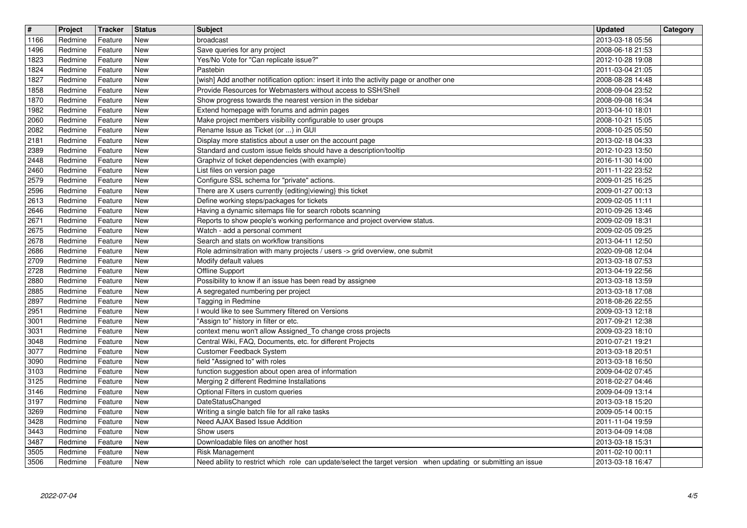| $\overline{\mathbf{t}}$<br>1166 | Project<br>Redmine | Tracker            | <b>Status</b><br><b>New</b> | <b>Subject</b><br>broadcast                                                                                                             | <b>Updated</b><br>2013-03-18 05:56   | Category |
|---------------------------------|--------------------|--------------------|-----------------------------|-----------------------------------------------------------------------------------------------------------------------------------------|--------------------------------------|----------|
| 1496                            | Redmine            | Feature<br>Feature | New                         | Save queries for any project                                                                                                            | 2008-06-18 21:53                     |          |
| 1823<br>1824                    | Redmine<br>Redmine | Feature<br>Feature | New<br>New                  | Yes/No Vote for "Can replicate issue?"<br>Pastebin                                                                                      | 2012-10-28 19:08<br>2011-03-04 21:05 |          |
| 1827                            | Redmine            | Feature            | New                         | [wish] Add another notification option: insert it into the activity page or another one                                                 | 2008-08-28 14:48                     |          |
| 1858<br>1870                    | Redmine<br>Redmine | Feature<br>Feature | New<br><b>New</b>           | Provide Resources for Webmasters without access to SSH/Shell<br>Show progress towards the nearest version in the sidebar                | 2008-09-04 23:52<br>2008-09-08 16:34 |          |
| 1982                            | Redmine<br>Redmine | Feature<br>Feature | <b>New</b><br>New           | Extend homepage with forums and admin pages                                                                                             | 2013-04-10 18:01<br>2008-10-21 15:05 |          |
| 2060<br>2082                    | Redmine            | Feature            | <b>New</b>                  | Make project members visibility configurable to user groups<br>Rename Issue as Ticket (or ) in GUI                                      | 2008-10-25 05:50                     |          |
| 2181<br>2389                    | Redmine<br>Redmine | Feature<br>Feature | New<br>New                  | Display more statistics about a user on the account page<br>Standard and custom issue fields should have a description/tooltip          | 2013-02-18 04:33<br>2012-10-23 13:50 |          |
| 2448                            | Redmine            | Feature            | New                         | Graphviz of ticket dependencies (with example)                                                                                          | 2016-11-30 14:00                     |          |
| 2460<br>2579                    | Redmine<br>Redmine | Feature<br>Feature | New<br>New                  | List files on version page<br>Configure SSL schema for "private" actions.                                                               | 2011-11-22 23:52<br>2009-01-25 16:25 |          |
| 2596<br>2613                    | Redmine<br>Redmine | Feature<br>Feature | <b>New</b><br>New           | There are X users currently {editing viewing} this ticket<br>Define working steps/packages for tickets                                  | 2009-01-27 00:13<br>2009-02-05 11:11 |          |
| 2646                            | Redmine            | Feature            | New                         | Having a dynamic sitemaps file for search robots scanning                                                                               | 2010-09-26 13:46                     |          |
| 2671<br>2675                    | Redmine<br>Redmine | Feature<br>Feature | <b>New</b><br>New           | Reports to show people's working performance and project overview status.<br>Watch - add a personal comment                             | 2009-02-09 18:31<br>2009-02-05 09:25 |          |
| 2678<br>2686                    | Redmine<br>Redmine | Feature<br>Feature | New<br>New                  | Search and stats on workflow transitions<br>Role adminsitration with many projects / users -> grid overview, one submit                 | 2013-04-11 12:50<br>2020-09-08 12:04 |          |
| 2709                            | Redmine            | Feature            | New                         | Modify default values                                                                                                                   | 2013-03-18 07:53                     |          |
| 2728<br>2880                    | Redmine<br>Redmine | Feature<br>Feature | New<br><b>New</b>           | Offline Support<br>Possibility to know if an issue has been read by assignee                                                            | 2013-04-19 22:56<br>2013-03-18 13:59 |          |
| 2885                            | Redmine            | Feature            | <b>New</b>                  | A segregated numbering per project                                                                                                      | 2013-03-18 17:08                     |          |
| 2897<br>2951                    | Redmine<br>Redmine | Feature<br>Feature | New<br><b>New</b>           | Tagging in Redmine<br>I would like to see Summery filtered on Versions                                                                  | 2018-08-26 22:55<br>2009-03-13 12:18 |          |
| 3001<br>3031                    | Redmine<br>Redmine | Feature<br>Feature | New<br>New                  | "Assign to" history in filter or etc.<br>context menu won't allow Assigned_To change cross projects                                     | 2017-09-21 12:38<br>2009-03-23 18:10 |          |
| 3048                            | Redmine            | Feature            | New                         | Central Wiki, FAQ, Documents, etc. for different Projects                                                                               | 2010-07-21 19:21                     |          |
| 3077<br>3090                    | Redmine<br>Redmine | Feature<br>Feature | <b>New</b><br><b>New</b>    | Customer Feedback System<br>field "Assigned to" with roles                                                                              | 2013-03-18 20:51<br>2013-03-18 16:50 |          |
| 3103                            | Redmine            | Feature            | New                         | function suggestion about open area of information                                                                                      | 2009-04-02 07:45                     |          |
| 3125<br>3146                    | Redmine<br>Redmine | Feature<br>Feature | <b>New</b><br><b>New</b>    | Merging 2 different Redmine Installations<br>Optional Filters in custom queries                                                         | 2018-02-27 04:46<br>2009-04-09 13:14 |          |
| 3197<br>3269                    | Redmine<br>Redmine | Feature<br>Feature | <b>New</b><br>New           | DateStatusChanged<br>Writing a single batch file for all rake tasks                                                                     | 2013-03-18 15:20<br>2009-05-14 00:15 |          |
| $3428$                          | Redmine            | Feature            | New                         | Need AJAX Based Issue Addition                                                                                                          | 2011-11-04 19:59                     |          |
| 3443<br>3487                    | Redmine<br>Redmine | Feature<br>Feature | <b>New</b><br>New           | Show users<br>Downloadable files on another host                                                                                        | 2013-04-09 14:08<br>2013-03-18 15:31 |          |
| 3505<br>3506                    | Redmine<br>Redmine | Feature<br>Feature | New<br>New                  | <b>Risk Management</b><br>Need ability to restrict which role can update/select the target version when updating or submitting an issue | 2011-02-10 00:11<br>2013-03-18 16:47 |          |
|                                 |                    |                    |                             |                                                                                                                                         |                                      |          |
|                                 |                    |                    |                             |                                                                                                                                         |                                      |          |
|                                 |                    |                    |                             |                                                                                                                                         |                                      |          |
|                                 |                    |                    |                             |                                                                                                                                         |                                      |          |
|                                 |                    |                    |                             |                                                                                                                                         |                                      |          |
|                                 |                    |                    |                             |                                                                                                                                         |                                      |          |
|                                 |                    |                    |                             |                                                                                                                                         |                                      |          |
|                                 |                    |                    |                             |                                                                                                                                         |                                      |          |
|                                 |                    |                    |                             |                                                                                                                                         |                                      |          |
|                                 |                    |                    |                             |                                                                                                                                         |                                      |          |
|                                 |                    |                    |                             |                                                                                                                                         |                                      |          |